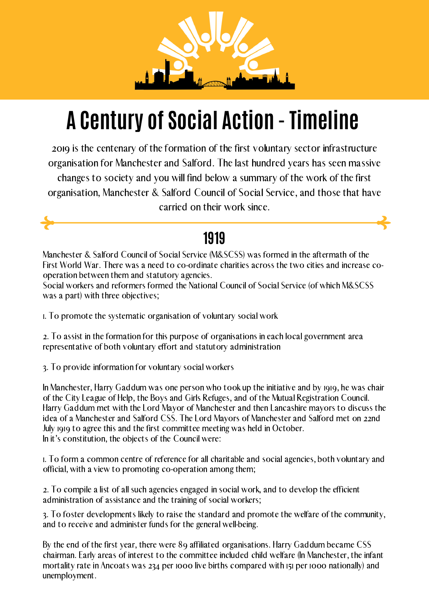

# **A Century of Social Action - Timeline**

2019 is the centenary of the formation of the first voluntary sector infrastructure organisation for Manchester and Salford. The last hundred years has seen massive changes to society and you will find below a summary of the work of the first organisation, Manchester & Salford Council of Social Service, and those that have carried on their work since.

Manchester & Salford Council of Social Service (M&SCSS) was formed in the aftermath of the First World War. There was a need to co-ordinate charities across the two cities and increase cooperation between them and statutory agencies.

In Manchester, Harry Gaddum was one person who took up the initiative and by 1919, he was chair of the City League of Help, the Boys and Girls Refuges, and of the Mutual Registration Council. Harry Gaddum met with the Lord Mayor of Manchester and then Lancashire mayors to discuss the idea of a Manchester and Salford CSS. The Lord Mayors of Manchester and Salford met on 22nd July 1919 to agree this and the first committee meeting was held in October. In it's constitution, the objects of the Council were:

Social workers and reformers formed the National Council of Social Service (of which M&SCSS was a part) with three objectives;

1. To promote the systematic organisation of voluntary social work

2. To assist in the formation for this purpose of organisations in each local government area representative of both voluntary effort and statutory administration

3. To provide information for voluntary social workers

1. To form a common centre of reference for all charitable and social agencies, both voluntary and official, with a view to promoting co-operation among them;

2. To compile a list of all such agencies engaged in social work, and to develop the efficient administration of assistance and the training of social workers;

#### **1919**

3. To foster developments likely to raise the standard and promote the welfare of the community, and to receive and administer funds for the general well-being.

By the end of the first year, there were 89 affiliated organisations. Harry Gaddum became CSS chairman. Early areas of interest to the committee included child welfare (In Manchester, the infant mortality rate in Ancoats was 234 per 1000 live births compared with 151 per 1000 nationally) and unemployment.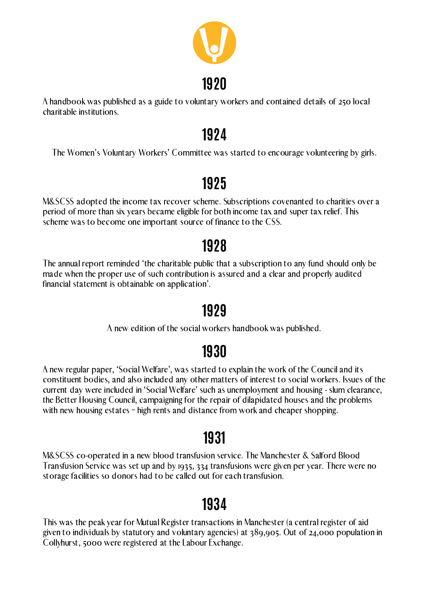A handbook was published as a guide to voluntary workers and contained details of 250 local charitable institutions.



The Women's Voluntary Workers' Committee was started to encourage volunteering by girls.

# **1924**

M&SCSS adopted the income tax recover scheme. Subscriptions covenanted to charities over a period of more than six years became eligible for both income tax and super tax relief. This scheme was to become one important source of finance to the CSS.

A new regular paper, 'Social Welfare', was started to explain the work of the Council and its constituent bodies, and also included any other matters of interest to social workers. Issues of the current day were included in 'Social Welfare' such as unemployment and housing - slum clearance, the Better Housing Council, campaigning for the repair of dilapidated houses and the problems with new housing estates - high rents and distance from work and cheaper shopping.

# **1925**

The annual report reminded 'the charitable public that a subscription to any fund should only be made when the proper use of such contribution is assured and a clear and properly audited financial statement is obtainable on application'.

# **1928**

A new edition of the social workers handbook was published.

# **1929**

# **1930**

M&SCSS co-operated in a new blood transfusion service. The Manchester & Salford Blood Transfusion Service was set up and by 1935, 334 transfusions were given per year. There were no storage facilities so donors had to be called out for each transfusion.

#### **1931**

This was the peak year for Mutual Register transactions in Manchester (a central register of aid given to individuals by statutory and voluntary agencies) at 389,905. Out of 24,000 population in Collyhurst, 5000 were registered at the Labour Exchange.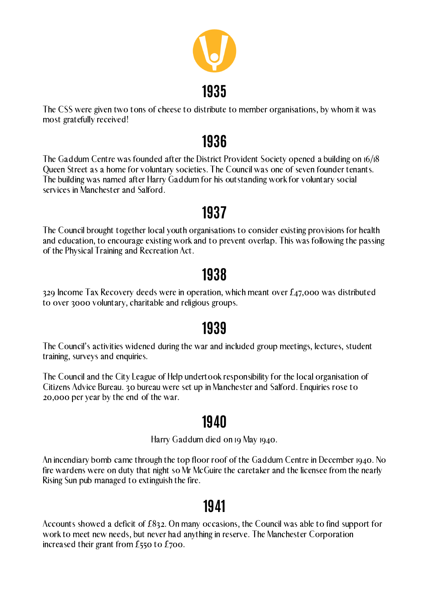The CSS were given two tons of cheese to distribute to member organisations, by whom it was most gratefully received!



The Gaddum Centre was founded after the District Provident Society opened a building on 16/18 Queen Street as a home for voluntary societies. The Council was one of seven founder tenants. The building was named after Harry Gaddum for his outstanding work for voluntary social services in Manchester and Salford.

# **1936**

The Council brought together local youth organisations to consider existing provisions for health and education, to encourage existing work and to prevent overlap. This was following the passing of the Physical Training and Recreation Act.

# **1937**

329 Income Tax Recovery deeds were in operation, which meant over £47,000 was distributed to over 3000 voluntary, charitable and religious groups.

#### **1938**

The Council's activities widened during the war and included group meetings, lectures, student training, surveys and enquiries.

The Council and the City League of Help undertook responsibility for the local organisation of Citizens Advice Bureau. 30 bureau were set up in Manchester and Salford. Enquiries rose to 20,000 per year by the end of the war.

# **1939**

Harry Gaddum died on 19 May 1940.

An incendiary bomb came through the top floor roof of the Gaddum Centre in December 1940. No fire wardens were on duty that night so Mr McGuire the caretaker and the licensee from the nearly Rising Sun pub managed to extinguish the fire.

# **1940**

Accounts showed a deficit of £832. On many occasions, the Council was able to find support for work to meet new needs, but never had anything in reserve. The Manchester Corporation increased their grant from £550 to £700.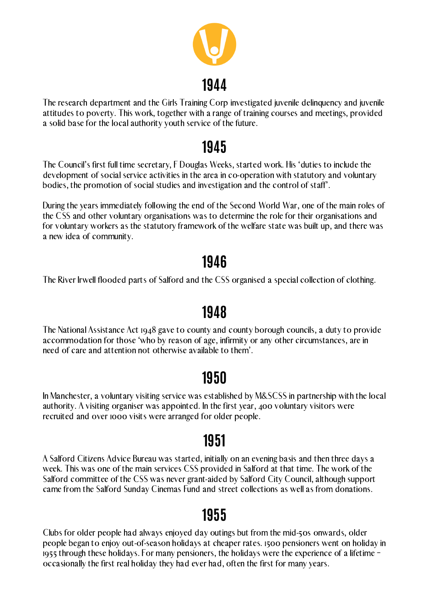The research department and the Girls Training Corp investigated juvenile delinquency and juvenile attitudes to poverty. This work, together with a range of training courses and meetings, provided a solid base for the local authority youth service of the future.



The Council's first full time secretary, F Douglas Weeks, started work. His 'duties to include the development of social service activities in the area in co-operation with statutory and voluntary bodies, the promotion of social studies and investigation and the control of staff'.

During the years immediately following the end of the Second World War, one of the main roles of the CSS and other voluntary organisations was to determine the role for their organisations and for voluntary workers as the statutory framework of the welfare state was built up, and there was a new idea of community.

### **1945**

The River Irwell flooded parts of Salford and the CSS organised a special collection of clothing.

### **1946**

The National Assistance Act 1948 gave to county and county borough councils, a duty to provide accommodation for those 'who by reason of age, infirmity or any other circumstances, are in need of care and attention not otherwise available to them'.

# **1948**

In Manchester, a voluntary visiting service was established by M&SCSS in partnership with the local authority. A visiting organiser was appointed. In the first year, 400 voluntary visitors were recruited and over 1000 visits were arranged for older people.

# **1950**

A Salford Citizens Advice Bureau was started, initially on an evening basis and then three days a week. This was one of the main services CSS provided in Salford at that time. The work of the Salford committee of the CSS was never grant-aided by Salford City Council, although support came from the Salford Sunday Cinemas Fund and street collections as well as from donations.

# **1951**

Clubs for older people had always enjoyed day outings but from the mid-50s onwards, older people began to enjoy out-of-season holidays at cheaper rates. 1500 pensioners went on holiday in 1955 through these holidays. For many pensioners, the holidays were the experience of a lifetime – occasionally the first real holiday they had ever had, often the first for many years.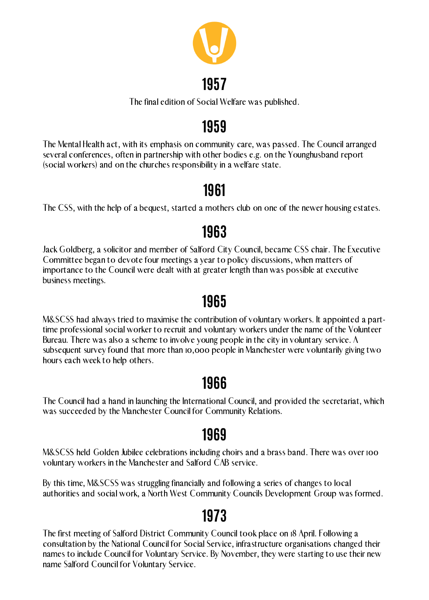The final edition of Social Welfare was published.



### **1957**

The Mental Health act, with its emphasis on community care, was passed. The Council arranged several conferences, often in partnership with other bodies e.g. on the Younghusband report (social workers) and on the churches responsibility in a welfare state.

# **1959**

The CSS, with the help of a bequest, started a mothers club on one of the newer housing estates.

# **1961**

Jack Goldberg, a solicitor and member of Salford City Council, became CSS chair. The Executive Committee began to devote four meetings a year to policy discussions, when matters of importance to the Council were dealt with at greater length than was possible at executive business meetings.

# **1963**

M&SCSS held Golden Jubilee celebrations including choirs and a brass band. There was over 100 voluntary workers in the Manchester and Salford CAB service.

M&SCSS had always tried to maximise the contribution of voluntary workers. It appointed a parttime professional social worker to recruit and voluntary workers under the name of the Volunteer Bureau. There was also a scheme to involve young people in the city in voluntary service. A subsequent survey found that more than 10,000 people in Manchester were voluntarily giving two hours each week to help others.

# **1965**

The Council had a hand in launching the International Council, and provided the secretariat, which was succeeded by the Manchester Council for Community Relations.

# **1966**

By this time, M&SCSS was struggling financially and following a series of changes to local authorities and social work, a North West Community Councils Development Group was formed.

# **1969**

The first meeting of Salford District Community Council took place on 18 April. Following a consultation by the National Council for Social Service, infrastructure organisations changed their names to include Council for Voluntary Service. By November, they were starting to use their new name Salford Council for Voluntary Service.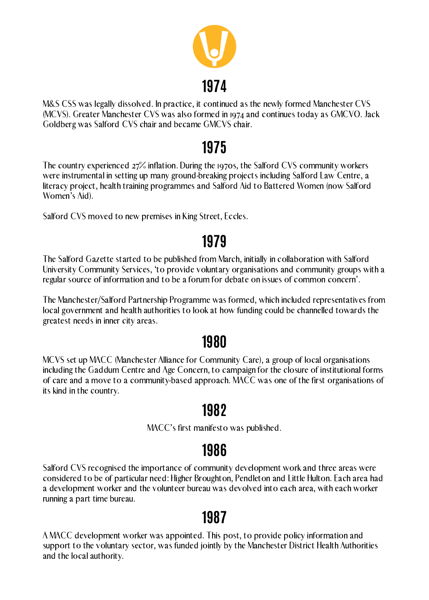M&S CSS was legally dissolved. In practice, it continued as the newly formed Manchester CVS (MCVS). Greater Manchester CVS was also formed in 1974 and continues today as GMCVO. Jack Goldberg was Salford CVS chair and became GMCVS chair.



The country experienced 27% inflation. During the 1970s, the Salford CVS community workers were instrumental in setting up many ground-breaking projects including Salford Law Centre, a literacy project, health training programmes and Salford Aid to Battered Women (now Salford Women's Aid).

Salford CVS moved to new premises in King Street, Eccles.

### **1975**

The Salford Gazette started to be published from March, initially in collaboration with Salford University Community Services, 'to provide voluntary organisations and community groups with a regular source of information and to be a forum for debate on issues of common concern'.

The Manchester/Salford Partnership Programme was formed, which included representatives from local government and health authorities to look at how funding could be channelled towards the greatest needs in inner city areas.

### **1979**

MCVS set up MACC (Manchester Alliance for Community Care), a group of local organisations including the Gaddum Centre and Age Concern, to campaign for the closure of institutional forms of care and a move to a community-based approach. MACC was one of the first organisations of its kind in the country.

#### **1980**

MACC's first manifesto was published.

# **1982**

Salford CVS recognised the importance of community development work and three areas were considered to be of particular need: Higher Broughton, Pendleton and Little Hulton. Each area had a development worker and the volunteer bureau was devolved into each area, with each worker running a part time bureau.

#### **1986**

A MACC development worker was appointed. This post, to provide policy information and support to the voluntary sector, was funded jointly by the Manchester District Health Authorities and the local authority.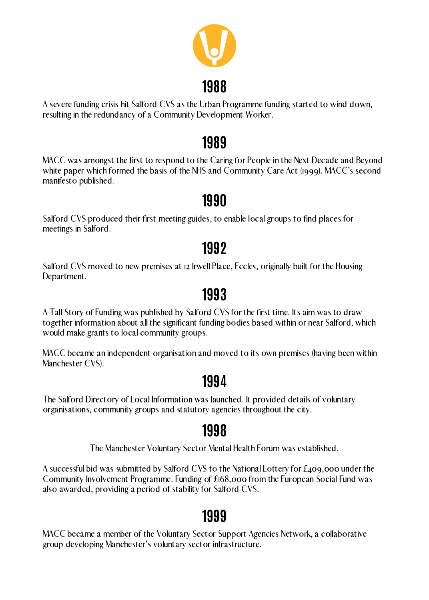A severe funding crisis hit Salford CVS as the Urban Programme funding started to wind down, resulting in the redundancy of a Community Development Worker.



MACC was amongst the first to respond to the Caring for People in the Next Decade and Beyond white paper which formed the basis of the NHS and Community Care Act (1999). MACC's second manifesto published.

Salford CVS moved to new premises at 12 Irwell Place, Eccles, originally built for the Housing Department.

# **1989**

Salford CVS produced their first meeting guides, to enable local groups to find places for meetings in Salford.

# **1990**

# **1992**

A Tall Story of Funding was published by Salford CVS for the first time. Its aim was to draw together information about all the significant funding bodies based within or near Salford, which would make grants to local community groups.

MACC became an independent organisation and moved to its own premises (having been within Manchester CVS).

# **1993**

The Salford Directory of Local Information was launched. It provided details of voluntary organisations, community groups and statutory agencies throughout the city.

# **1994**

The Manchester Voluntary Sector Mental Health Forum was established.

A successful bid was submitted by Salford CVS to the National Lottery for £409,000 under the Community Involvement Programme. Funding of £168,000 from the European Social Fund was also awarded, providing a period of stability for Salford CVS.

# **1998**

MACC became a member of the Voluntary Sector Support Agencies Network, a collaborative group developing Manchester's voluntary sector infrastructure.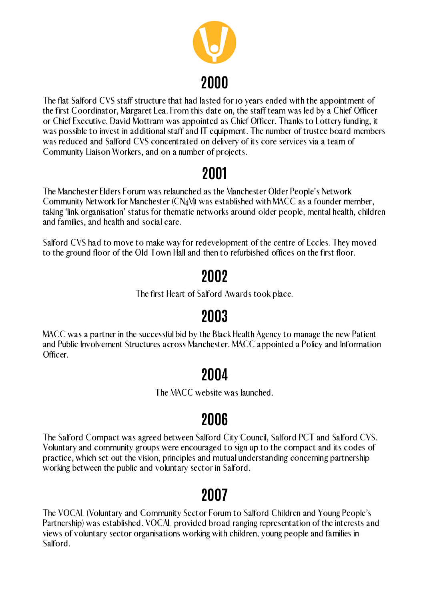The flat Salford CVS staff structure that had lasted for 10 years ended with the appointment of the first Coordinator, Margaret Lea. From this date on, the staff team was led by a Chief Officer or Chief Executive. David Mottram was appointed as Chief Officer. Thanks to Lottery funding, it was possible to invest in additional staff and IT equipment. The number of trustee board members was reduced and Salford CVS concentrated on delivery of its core services via a team of Community Liaison Workers, and on a number of projects.



The Manchester Elders Forum was relaunched as the Manchester Older People's Network Community Network for Manchester (CN4M) was established with MACC as a founder member, taking 'link organisation' status for thematic networks around older people, mental health, children and families, and health and social care.

Salford CVS had to move to make way for redevelopment of the centre of Eccles. They moved to the ground floor of the Old Town Hall and then to refurbished offices on the first floor.

# **2001**

The first Heart of Salford Awards took place.

# **2002**

MACC was a partner in the successful bid by the Black Health Agency to manage the new Patient and Public Involvement Structures across Manchester. MACC appointed a Policy and Information Officer.

# **2003**

The MACC website was launched.

# **2004**

The Salford Compact was agreed between Salford City Council, Salford PCT and Salford CVS. Voluntary and community groups were encouraged to sign up to the compact and its codes of practice, which set out the vision, principles and mutual understanding concerning partnership working between the public and voluntary sector in Salford.

# **2006**

The VOCAL (Voluntary and Community Sector Forum to Salford Children and Young People's Partnership) was established. VOCAL provided broad ranging representation of the interests and views of voluntary sector organisations working with children, young people and families in Salford.

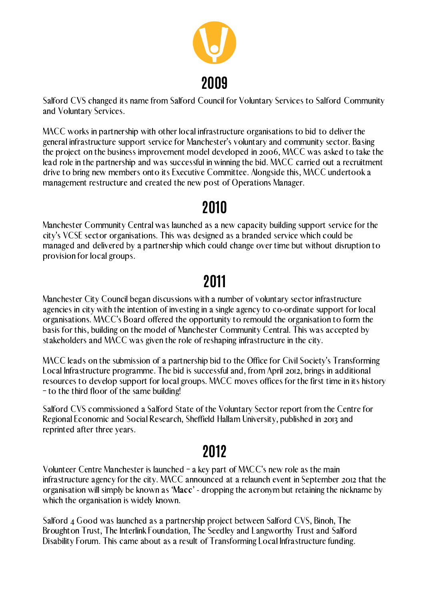Salford CVS changed its name from Salford Council for Voluntary Services to Salford Community and Voluntary Services.

MACC works in partnership with other local infrastructure organisations to bid to deliver the general infrastructure support service for Manchester's voluntary and community sector. Basing the project on the business improvement model developed in 2006, MACC was asked to take the lead role in the partnership and was successful in winning the bid. MACC carried out a recruitment drive to bring new members onto its Executive Committee. Alongside this, MACC undertook a management restructure and created the new post of Operations Manager.



Manchester Community Central was launched as a new capacity building support service for the city's VCSE sector organisations. This was designed as a branded service which could be managed and delivered by a partnership which could change over time but without disruption to provision for local groups.

## **2010**

Manchester City Council began discussions with a number of voluntary sector infrastructure agencies in city with the intention of investing in a single agency to co-ordinate support for local organisations. MACC's Board offered the opportunity to remould the organisation to form the basis for this, building on the model of Manchester Community Central. This was accepted by stakeholders and MACC was given the role of reshaping infrastructure in the city.

Salford 4 Good was launched as a partnership project between Salford CVS, Binoh, The Broughton Trust, The Interlink Foundation, The Seedley and Langworthy Trust and Salford Disability Forum. This came about as a result of Transforming Local Infrastructure funding.

MACC leads on the submission of a partnership bid to the Office for Civil Society's Transforming Local Infrastructure programme. The bid is successful and, from April 2012, brings in additional resources to develop support for local groups. MACC moves offices for the first time in its history – to the third floor of the same building!

# **2011**

Salford CVS commissioned a Salford State of the Voluntary Sector report from the Centre for Regional Economic and Social Research, Sheffield Hallam University, published in 2013 and reprinted after three years.

Volunteer Centre Manchester is launched – a key part of MACC's new role as the main infrastructure agency for the city. MACC announced at a relaunch event in September 2012 that the organisation will simply be known as 'Macc' - dropping the acronym but retaining the nickname by which the organisation is widely known.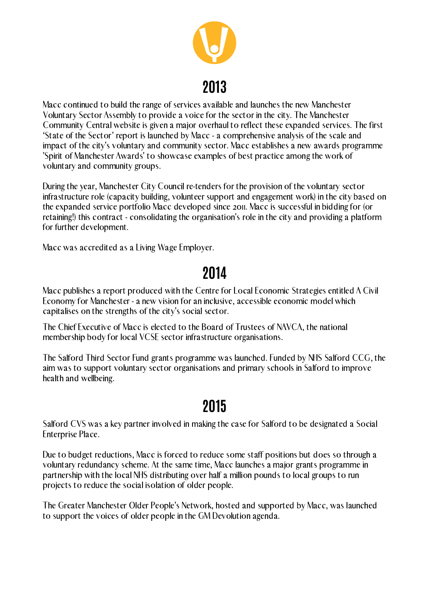Macc continued to build the range of services available and launches the new Manchester Voluntary Sector Assembly to provide a voice for the sector in the city. The Manchester Community Central website is given a major overhaul to reflect these expanded services. The first 'State of the Sector' report is launched by Macc - a comprehensive analysis of the scale and impact of the city's voluntary and community sector. Macc establishes a new awards programme 'Spirit of Manchester Awards' to showcase examples of best practice among the work of voluntary and community groups.

During the year, Manchester City Council re-tenders for the provision of the voluntary sector infrastructure role (capacity building, volunteer support and engagement work) in the city based on the expanded service portfolio Macc developed since 2011. Macc is successful in bidding for (or retaining!) this contract - consolidating the organisation's role in the city and providing a platform for further development.

Macc was accredited as a Living Wage Employer.



# **2013**

Macc publishes a report produced with the Centre for Local Economic Strategies entitled A Civil Economy for Manchester - a new vision for an inclusive, accessible economic model which capitalises on the strengths of the city's social sector.

# **2014**

The Chief Executive of Macc is elected to the Board of Trustees of NAVCA, the national membership body for local VCSE sector infrastructure organisations.

The Salford Third Sector Fund grants programme was launched. Funded by NHS Salford CCG, the aim was to support voluntary sector organisations and primary schools in Salford to improve health and wellbeing.

Salford CVS was a key partner involved in making the case for Salford to be designated a Social Enterprise Place.

Due to budget reductions, Macc is forced to reduce some staff positions but does so through a voluntary redundancy scheme. At the same time, Macc launches a major grants programme in partnership with the local NHS distributing over half a million pounds to local groups to run projects to reduce the social isolation of older people.

The Greater Manchester Older People's Network, hosted and supported by Macc, was launched to support the voices of older people in the GM Devolution agenda.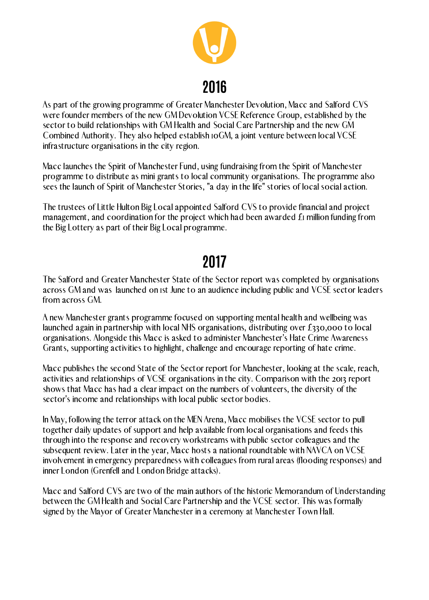As part of the growing programme of Greater Manchester Devolution, Macc and Salford CVS were founder members of the new GM Devolution VCSE Reference Group, established by the sector to build relationships with GM Health and Social Care Partnership and the new GM Combined Authority. They also helped establish 10GM, a joint venture between local VCSE infrastructure organisations in the city region.

Macc launches the Spirit of Manchester Fund, using fundraising from the Spirit of Manchester programme to distribute as mini grants to local community organisations. The programme also sees the launch of Spirit of Manchester Stories, "a day in the life" stories of local social action.

The trustees of Little Hulton Big Local appointed Salford CVS to provide financial and project management, and coordination for the project which had been awarded £1 million funding from the Big Lottery as part of their Big Local programme.



# **2016**

The Salford and Greater Manchester State of the Sector report was completed by organisations across GM and was launched on 1st June to an audience including public and VCSE sector leaders from across GM.

# **2017**

A new Manchester grants programme focused on supporting mental health and wellbeing was launched again in partnership with local NHS organisations, distributing over £330,000 to local organisations. Alongside this Macc is asked to administer Manchester's Hate Crime Awareness Grants, supporting activities to highlight, challenge and encourage reporting of hate crime.

Macc publishes the second State of the Sector report for Manchester, looking at the scale, reach, activities and relationships of VCSE organisations in the city. Comparison with the 2013 report shows that Macc has had a clear impact on the numbers of volunteers, the diversity of the sector's income and relationships with local public sector bodies.

In May, following the terror attack on the MEN Arena, Macc mobilises the VCSE sector to pull together daily updates of support and help available from local organisations and feeds this through into the response and recovery workstreams with public sector colleagues and the subsequent review. Later in the year, Macc hosts a national roundtable with NAVCA on VCSE involvement in emergency preparedness with colleagues from rural areas (flooding responses) and inner London (Grenfell and London Bridge attacks).

Macc and Salford CVS are two of the main authors of the historic Memorandum of Understanding between the GM Health and Social Care Partnership and the VCSE sector. This was formally signed by the Mayor of Greater Manchester in a ceremony at Manchester Town Hall.